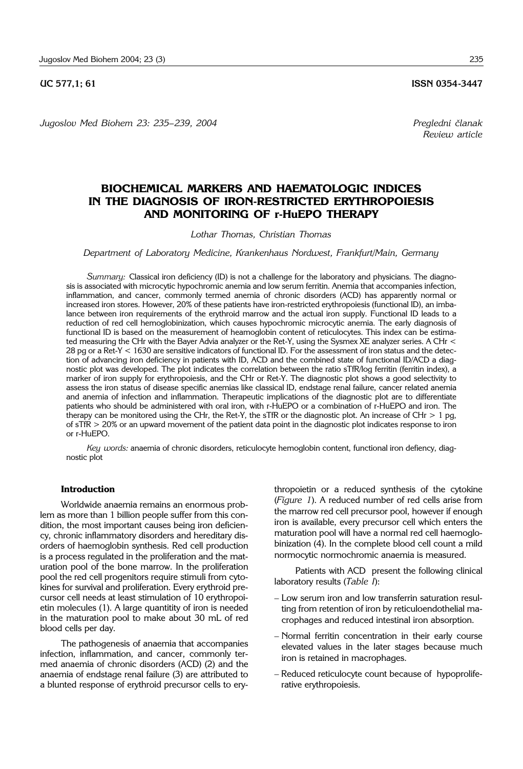*Jugoslov Med Biohem 23: 235– 239, 2004 Pregledni ~lanak*

# **BIOCHEMICAL MARKERS AND HAEMATOLOGIC INDICES IN THE DIAGNOSIS OF IRON-RESTRICTED ERYTHROPOIESIS AND MONITORING OF r-HuEPO THERAPY**

## *Lothar Thomas, Christian Thomas*

*Department of Laboratory Medicine, Krankenhaus Nordwest, Frankfurt/Main, Germany*

*Summary:* Classical iron deficiency (ID) is not a challenge for the laboratory and physicians. The diagnosis is associated with microcytic hypochromic anemia and low serum ferritin. Anemia that accompanies infection, inflammation, and cancer, commonly termed anemia of chronic disorders (ACD) has apparently normal or increased iron stores. However, 20% of these patients have iron-restricted erythropoiesis (functional ID), an imbalance between iron requirements of the erythroid marrow and the actual iron supply. Functional ID leads to a reduction of red cell hemoglobinization, which causes hypochromic microcytic anemia. The early diagnosis of functional ID is based on the measurement of heamoglobin content of reticulocytes. This index can be estimated measuring the CHr with the Bayer Advia analyzer or the Ret-Y, using the Sysmex XE analyzer series. A CHr < 28 pg or a Ret-Y < 1630 are sensitive indicators of functional ID. For the assessment of iron status and the detection of advancing iron deficiency in patients with ID, ACD and the combined state of functional ID/ACD a diagnostic plot was developed. The plot indicates the correlation between the ratio sTfR/log ferritin (ferritin index), a marker of iron supply for erythropoiesis, and the CHr or Ret-Y. The diagnostic plot shows a good selectivity to assess the iron status of disease specific anemias like classical ID, endstage renal failure, cancer related anemia and anemia of infection and inflammation. Therapeutic implications of the diagnostic plot are to differentiate patients who should be administered with oral iron, with r-HuEPO or a combination of r-HuEPO and iron. The therapy can be monitored using the CHr, the Ret-Y, the sTfR or the diagnostic plot. An increase of CHr  $> 1$  pg, of sTfR > 20% or an upward movement of the patient data point in the diagnostic plot indicates response to iron or r-HuEPO.

*Key words:* anaemia of chronic disorders, reticulocyte hemoglobin content, functional iron defiency, diagnostic plot

#### **Introduction**

Worldwide anaemia remains an enormous problem as more than 1 billion people suffer from this condition, the most important causes being iron deficiency, chronic inflammatory disorders and hereditary disorders of haemoglobin synthesis. Red cell production is a process regulated in the proliferation and the maturation pool of the bone marrow. In the proliferation pool the red cell progenitors require stimuli from cytokines for survival and proliferation. Every erythroid precursor cell needs at least stimulation of 10 erythropoietin molecules (1). A large quantitity of iron is needed in the maturation pool to make about 30 mL of red blood cells per day.

The pathogenesis of anaemia that accompanies infection, inflammation, and cancer, commonly termed anaemia of chronic disorders (ACD) (2) and the anaemia of endstage renal failure (3) are attributed to a blunted response of erythroid precursor cells to erythropoietin or a reduced synthesis of the cytokine (*Figure 1*). A reduced number of red cells arise from the marrow red cell precursor pool, however if enough iron is available, every precursor cell which enters the maturation pool will have a normal red cell haemoglobinization (4). In the complete blood cell count a mild normocytic normochromic anaemia is measured.

Patients with ACD present the following clinical laboratory results (*Table I*):

- Low serum iron and low transferrin saturation resulting from retention of iron by reticuloendothelial macrophages and reduced intestinal iron absorption.
- Normal ferritin concentration in their early course elevated values in the later stages because much iron is retained in macrophages.
- Reduced reticulocyte count because of hypoproliferative erythropoiesis.

**UC 577,1; 61 ISSN 0354-3447** 

*Review article*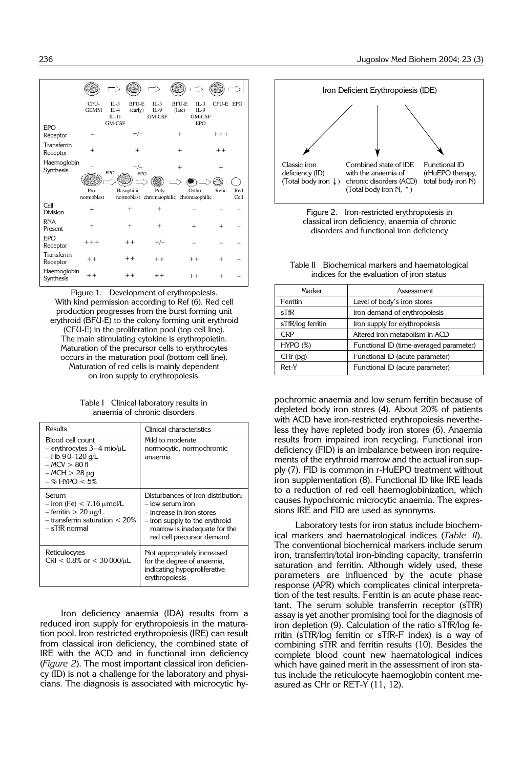|                          | CFU-<br><b>GEMM</b>             | <b>BFU-E</b><br>$\Pi - 3$<br>$IL-4$<br>(early)<br>$IL-11$<br>GM-CSF | $IL-3$<br>$IL-9$<br>GM-CSF | <b>BFU-E</b><br>(late) | $IL-3$<br>$IL-9$<br>GM-CSF<br><b>EPO</b> | CFU-E EPO |      |
|--------------------------|---------------------------------|---------------------------------------------------------------------|----------------------------|------------------------|------------------------------------------|-----------|------|
| EPO<br>Receptor          |                                 | $+/-$                                                               |                            | $+$                    |                                          | $+++$     |      |
| Transferrin<br>Receptor  | $^{+}$                          | $+$                                                                 |                            | $+$                    |                                          | $++$      |      |
| Haemoglobin<br>Synthesis |                                 | $+/-$<br>EPO<br>EPO                                                 |                            | $+$                    |                                          | $^+$      |      |
|                          | Pro-                            | Basophilic                                                          | Poly                       |                        | Ortho-                                   | Retic     | Red  |
|                          | normoblast                      | normoblast chromatophilic chromatophilic                            |                            |                        |                                          |           | Cell |
| Cell<br>Division         | $^{+}$                          | $+$                                                                 | $+$                        |                        |                                          |           |      |
| <b>RNA</b><br>Present    | $^{+}$                          | $+$                                                                 | $^{+}$                     |                        | $^{+}$                                   | ┿         |      |
| EPO<br>Receptor          | $+++$                           | $++$                                                                | $+/-$                      |                        |                                          |           |      |
| Transferrin<br>Receptor  | $++$                            | $++$                                                                | $+ +$                      |                        | $++$                                     | $^{+}$    |      |
| Haemoglobin<br>Synthesis | $^{\mathrm{+}}$ $^{\mathrm{+}}$ | $++$                                                                | $++$                       |                        | $++$                                     | ٠         |      |

Figure 1. Development of erythropoiesis. With kind permission according to Ref (6). Red cell production progresses from the burst forming unit erythroid (BFU-E) to the colony forming unit erythroid (CFU-E) in the proliferation pool (top cell line). The main stimulating cytokine is erythropoietin. Maturation of the precursor cells to erythrocytes occurs in the maturation pool (bottom cell line). Maturation of red cells is mainly dependent on iron supply to erythropoiesis.

Table I Clinical laboratory results in anaemia of chronic disorders

| Results                                                                                                                              | Clinical characteristics                                                                                                                                                           |  |  |
|--------------------------------------------------------------------------------------------------------------------------------------|------------------------------------------------------------------------------------------------------------------------------------------------------------------------------------|--|--|
| Blood cell count<br>$-$ erythrocytes 3–4 mio/ $\mu$ L<br>$-$ Hb 90–120 q/L<br>$-MCV > 80$ fl<br>$-MCH > 28$ pg<br>$-$ % HYPO $<$ 5%  | Mild to moderate<br>normocytic, normochromic<br>anaemia                                                                                                                            |  |  |
| Serum<br>$-$ iron (Fe) $< 7.16$ $\mu$ mol/L<br>$-$ ferritin $> 20 \mu q/L$<br>$-$ transferrin saturation $< 20\%$<br>$-$ sTfR normal | Disturbances of iron distribution:<br>– low serum iron<br>- increase in iron stores<br>– iron supply to the erythroid<br>marrow is inadequate for the<br>red cell precursor demand |  |  |
| Reticulocytes<br>$CRI < 0.8\%$ or $< 30000/μL$                                                                                       | Not appropriately increased<br>for the degree of anaemia,<br>indicating hypoproliferative<br>erythropoiesis                                                                        |  |  |

Iron deficiency anaemia (IDA) results from a reduced iron supply for erythropoiesis in the maturation pool. Iron restricted erythropoiesis (IRE) can result from classical iron deficiency, the combined state of IRE with the ACD and in functional iron deficiency (*Figure 2*). The most important classical iron deficiency (ID) is not a challenge for the laboratory and physicians. The diagnosis is associated with microcytic hy-







Table II Biochemical markers and haematological indices for the evaluation of iron status

| Marker            | Assessment                              |  |  |
|-------------------|-----------------------------------------|--|--|
| Ferritin          | Level of body's iron stores             |  |  |
| $s$ TfR           | Iron demand of erythropoiesis           |  |  |
| sTfR/log ferritin | Iron supply for erythropoiesis          |  |  |
| CRP               | Altered iron metabolism in ACD          |  |  |
| HYPO(%)           | Functional ID (time-averaged parameter) |  |  |
| $CHr$ (pg)        | Functional ID (acute parameter)         |  |  |
| Ret-Y             | Functional ID (acute parameter)         |  |  |

pochromic anaemia and low serum ferritin because of depleted body iron stores (4). About 20% of patients with ACD have iron-restricted erythropoiesis nevertheless they have repleted body iron stores (6). Anaemia results from impaired iron recycling. Functional iron deficiency (FID) is an imbalance between iron requirements of the erythroid marrow and the actual iron supply (7). FID is common in r-HuEPO treatment without iron supplementation (8). Functional ID like IRE leads to a reduction of red cell haemoglobinization, which causes hypochromic microcytic anaemia. The expressions IRE and FID are used as synonyms.

Laboratory tests for iron status include biochemical markers and haematological indices (*Table II*). The conventional biochemical markers include serum iron, transferrin/total iron-binding capacity, transferrin saturation and ferritin. Although widely used, these parameters are influenced by the acute phase response (APR) which complicates clinical interpretation of the test results. Ferritin is an acute phase reactant. The serum soluble transferrin receptor (sTfR) assay is yet another promising tool for the diagnosis of iron depletion (9). Calculation of the ratio sTfR/log ferritin (sTfR/log ferritin or sTfR-F index) is a way of combining sTfR and ferritin results (10). Besides the complete blood count new haematological indices which have gained merit in the assessment of iron status include the reticulocyte haemoglobin content measured as CHr or RET-Y (11, 12).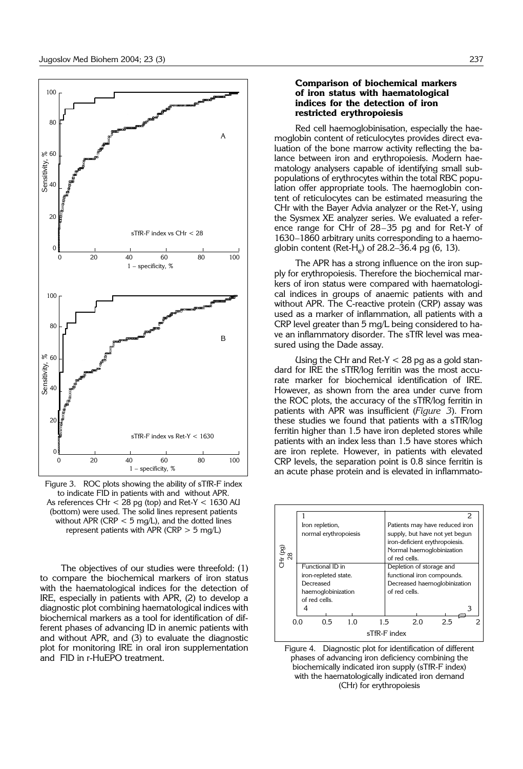

Figure 3. ROC plots showing the ability of sTfR-F index to indicate FID in patients with and without APR. As references CHr < 28 pg (top) and Ret-Y < 1630 AU (bottom) were used. The solid lines represent patients without APR (CRP  $<$  5 mg/L), and the dotted lines represent patients with APR (CRP  $>$  5 mg/L)

The objectives of our studies were threefold: (1) to compare the biochemical markers of iron status with the haematological indices for the detection of IRE, especially in patients with APR, (2) to develop a diagnostic plot combining haematological indices with biochemical markers as a tool for identification of different phases of advancing ID in anemic patients with and without APR, and (3) to evaluate the diagnostic plot for monitoring IRE in oral iron supplementation and FID in r-HuEPO treatment.

### **Comparison of biochemical markers of iron status with haematological indices for the detection of iron restricted erythropoiesis**

Red cell haemoglobinisation, especially the haemoglobin content of reticulocytes provides direct evaluation of the bone marrow activity reflecting the balance between iron and erythropoiesis. Modern haematology analysers capable of identifying small subpopulations of erythrocytes within the total RBC population offer appropriate tools. The haemoglobin content of reticulocytes can be estimated measuring the CHr with the Bayer Advia analyzer or the Ret-Y, using the Sysmex XE analyzer series. We evaluated a reference range for CHr of 28–35 pg and for Ret-Y of 1630–1860 arbitrary units corresponding to a haemoglobin content (Ret-H<sub>e</sub>) of 28.2–36.4 pg (6, 13).

The APR has a strong influence on the iron supply for erythropoiesis. Therefore the biochemical markers of iron status were compared with haematological indices in groups of anaemic patients with and without APR. The C-reactive protein (CRP) assay was used as a marker of inflammation, all patients with a CRP level greater than 5 mg/L being considered to have an inflammatory disorder. The sTfR level was measured using the Dade assay.

Using the CHr and Ret-Y  $<$  28 pg as a gold standard for IRE the sTfR/log ferritin was the most accurate marker for biochemical identification of IRE. However, as shown from the area under curve from the ROC plots, the accuracy of the sTfR/log ferritin in patients with APR was insufficient (*Figure 3*). From these studies we found that patients with a sTfR/log ferritin higher than 1.5 have iron depleted stores while patients with an index less than 1.5 have stores which are iron replete. However, in patients with elevated CRP levels, the separation point is 0.8 since ferritin is an acute phase protein and is elevated in inflammato-



Figure 4. Diagnostic plot for identification of different phases of advancing iron deficiency combining the biochemically indicated iron supply (sTfR-F index) with the haematologically indicated iron demand (CHr) for erythropoiesis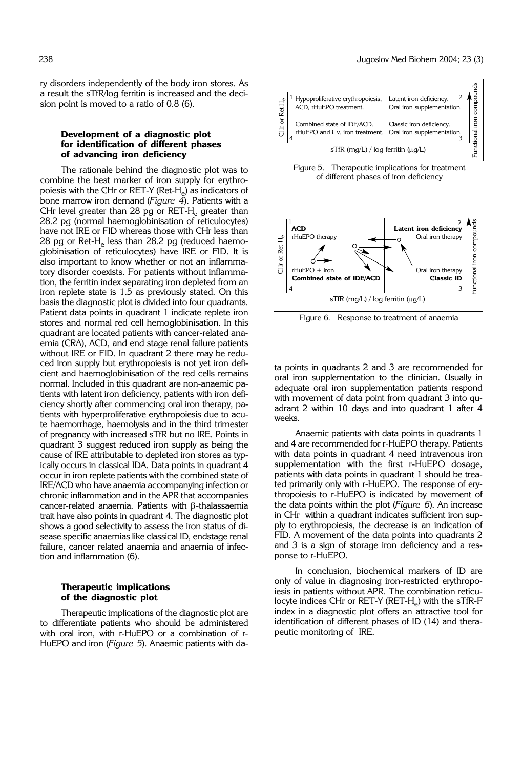ry disorders independently of the body iron stores. As a result the sTfR/log ferritin is increased and the decision point is moved to a ratio of 0.8 (6).

### **Development of a diagnostic plot for identification of different phases of advancing iron deficiency**

The rationale behind the diagnostic plot was to combine the best marker of iron supply for erythropoiesis with the CHr or RET-Y (Ret-H $_{e}$ ) as indicators of bone marrow iron demand (*Figure 4*). Patients with a CHr level greater than 28 pg or  $RET-H<sub>e</sub>$  greater than 28.2 pg (normal haemoglobinisation of reticulocytes) have not IRE or FID whereas those with CHr less than 28 pg or Ret-H<sub>e</sub> less than 28.2 pg (reduced haemoglobinisation of reticulocytes) have IRE or FID. It is also important to know whether or not an inflammatory disorder coexists. For patients without inflammation, the ferritin index separating iron depleted from an iron replete state is 1.5 as previously stated. On this basis the diagnostic plot is divided into four quadrants. Patient data points in quadrant 1 indicate replete iron stores and normal red cell hemoglobinisation. In this quadrant are located patients with cancer-related anaemia (CRA), ACD, and end stage renal failure patients without IRE or FID. In quadrant 2 there may be reduced iron supply but erythropoiesis is not yet iron deficient and haemoglobinisation of the red cells remains normal. Included in this quadrant are non-anaemic patients with latent iron deficiency, patients with iron deficiency shortly after commencing oral iron therapy, patients with hyperproliferative erythropoiesis due to acute haemorrhage, haemolysis and in the third trimester of pregnancy with increased sTfR but no IRE. Points in quadrant 3 suggest reduced iron supply as being the cause of IRE attributable to depleted iron stores as typically occurs in classical IDA. Data points in quadrant 4 occur in iron replete patients with the combined state of IRE/ACD who have anaemia accompanying infection or chronic inflammation and in the APR that accompanies cancer-related anaemia. Patients with  $\beta$ -thalassaemia trait have also points in quadrant 4. The diagnostic plot shows a good selectivity to assess the iron status of disease specific anaemias like classical ID, endstage renal failure, cancer related anaemia and anaemia of infection and inflammation (6).

#### **Therapeutic implications of the diagnostic plot**

Therapeutic implications of the diagnostic plot are to differentiate patients who should be administered with oral iron, with r-HuEPO or a combination of r-HuEPO and iron (*Figure 5*). Anaemic patients with da-



Figure 5. Therapeutic implications for treatment of different phases of iron deficiency



Figure 6. Response to treatment of anaemia

ta points in quadrants 2 and 3 are recommended for oral iron supplementation to the clinician. Usually in adequate oral iron supplementation patients respond with movement of data point from quadrant 3 into quadrant 2 within 10 days and into quadrant 1 after 4 weeks.

Anaemic patients with data points in quadrants 1 and 4 are recommended for r-HuEPO therapy. Patients with data points in quadrant 4 need intravenous iron supplementation with the first r-HuEPO dosage, patients with data points in quadrant 1 should be treated primarily only with r-HuEPO. The response of erythropoiesis to r-HuEPO is indicated by movement of the data points within the plot (*Figure 6*). An increase in CHr within a quadrant indicates sufficient iron supply to erythropoiesis, the decrease is an indication of FID. A movement of the data points into quadrants 2 and 3 is a sign of storage iron deficiency and a response to r-HuEPO.

In conclusion, biochemical markers of ID are only of value in diagnosing iron-restricted erythropoiesis in patients without APR. The combination reticulocyte indices CHr or RET-Y (RET-H<sub>e</sub>) with the sTfR-F index in a diagnostic plot offers an attractive tool for identification of different phases of ID (14) and therapeutic monitoring of IRE.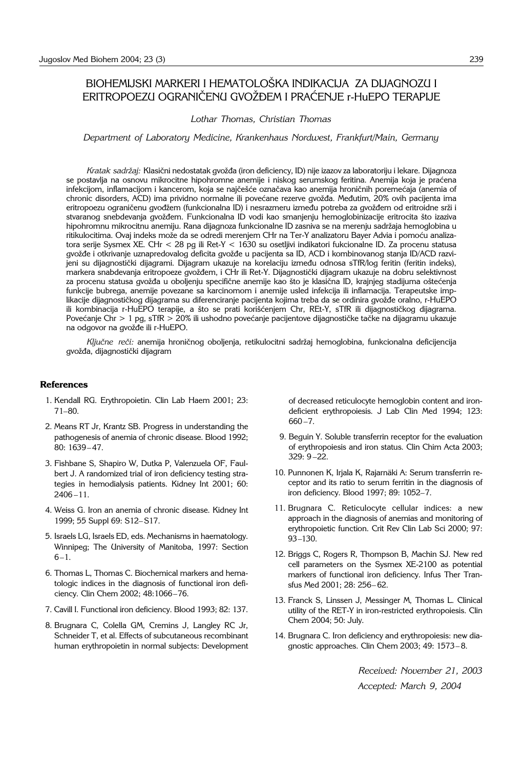# BIOHEMIJSKI MARKERI I HEMATOLOŠKA INDIKACIJA ZA DIJAGNOZU I ERITROPOEZU OGRANIČENU GVOŽĐEM I PRAĆENJE r-HUEPO TERAPIJE

#### *Lothar Thomas, Christian Thomas*

*Department of Laboratory Medicine, Krankenhaus Nordwest, Frankfurt/Main, Germany*

*Kratak sadržaj: Klasični nedostatak gvožđa (iron deficiency, ID) nije izazov za laboratoriju i lekare. Dijagnoza* se postavlja na osnovu mikrocitne hipohromne anemije i niskog serumskog feritina. Anemija koja je praćena infekcijom, inflamacijom i kancerom, koja se najčešće označava kao anemija hroničnih poremećaja (anemia of chronic disorders, ACD) ima prividno normalne ili povećane rezerve gvožđa. Međutim, 20% ovih pacijenta ima eritropoezu ograničenu gvodžem (funkcionalna ID) i nesrazmeru između potreba za gvožđem od eritroidne srži i stvaranog snebdevanja gvožđem. Funkcionalna ID vodi kao smanjenju hemoglobinizacije eritrocita što izaziva hipohromnu mikrocitnu anemiju. Rana dijagnoza funkcionalne ID zasniva se na merenju sadr`aja hemoglobina u ritikulocitima. Ovaj indeks može da se odredi merenjem CHr na Ter-Y analizatoru Bayer Advia i pomoću analizatora serije Sysmex XE. CHr < 28 pg ili Ret-Y < 1630 su osetljivi indikatori fukcionalne ID. Za procenu statusa gvožđe i otkrivanje uznapredovalog deficita gvožđe u pacijenta sa ID, ACD i kombinovanog stanja ID/ACD razvijeni su dijagnostički dijagrami. Dijagram ukazuje na korelaciju između odnosa sTfR/log feritin (feritin indeks), markera snabdevanja eritropoeze gvožđem, i CHr ili Ret-Y. Dijagnostički dijagram ukazuje na dobru selektivnost za procenu statusa gvožđa u oboljenju specifične anemije kao što je klasična ID, krajnjeg stadijuma oštećenja funkcije bubrega, anemije povezane sa karcinomom i anemije usled infekcija ili inflamacija. Terapeutske implikacije dijagnostičkog dijagrama su diferenciranje pacijenta kojima treba da se ordinira gvožđe oralno, r-HuEPO ili kombinacija r-HuEPO terapije, a što se prati korišćenjem Chr, REt-Y, sTfR ili dijagnostičkog dijagrama. Povećanje Chr > 1 pg, sTfR > 20% ili ushodno povećanje pacijentove dijagnostičke tačke na dijagramu ukazuje na odgovor na gvožđe ili r-HuEPO.

Ključne reči: anemija hroničnog oboljenja, retikulocitni sadržaj hemoglobina, funkcionalna deficijencija gvožđa, dijagnostički dijagram

#### **References**

- 1. Kendall RG. Erythropoietin. Clin Lab Haem 2001; 23: 71–80.
- 2. Means RT Jr, Krantz SB. Progress in understanding the pathogenesis of anemia of chronic disease. Blood 1992; 80: 1639– 47.
- 3. Fishbane S, Shapiro W, Dutka P, Valenzuela OF, Faulbert J. A randomized trial of iron deficiency testing strategies in hemodialysis patients. Kidney Int 2001; 60:  $2406 - 11.$
- 4. Weiss G. Iron an anemia of chronic disease. Kidney Int 1999; 55 Suppl 69: S12–S17.
- 5. Israels LG, Israels ED, eds. Mechanisms in haematology. Winnipeg; The University of Manitoba, 1997: Section  $6-1.$
- 6. Thomas L, Thomas C. Biochemical markers and hematologic indices in the diagnosis of functional iron deficiency. Clin Chem 2002; 48:1066–76.
- 7. Cavill I. Functional iron deficiency. Blood 1993; 82: 137.
- 8. Brugnara C, Colella GM, Cremins J, Langley RC Jr, Schneider T, et al. Effects of subcutaneous recombinant human erythropoietin in normal subjects: Development

of decreased reticulocyte hemoglobin content and irondeficient erythropoiesis. J Lab Clin Med 1994; 123: 660 –7.

- 9. Beguin Y. Soluble transferrin receptor for the evaluation of erythropoiesis and iron status. Clin Chim Acta 2003; 329: 9 –22.
- 10. Punnonen K, Irjala K, Rajarnäki A: Serum transferrin receptor and its ratio to serum ferritin in the diagnosis of iron deficiency. Blood 1997; 89: 1052–7.
- 11. Brugnara C. Reticulocyte cellular indices: a new approach in the diagnosis of anemias and monitoring of erythropoietic function. Crit Rev Clin Lab Sci 2000; 97: 93–130.
- 12. Briggs C, Rogers R, Thompson B, Machin SJ. New red cell parameters on the Sysmex XE-2100 as potential markers of functional iron deficiency. Infus Ther Transfus Med 2001; 28: 256– 62.
- 13. Franck S, Linssen J, Messinger M, Thomas L. Clinical utility of the RET-Y in iron-restricted erythropoiesis. Clin Chem 2004; 50: July.
- 14. Brugnara C. Iron deficiency and erythropoiesis: new diagnostic approaches. Clin Chem 2003; 49: 1573– 8.

*Received: November 21, 2003 Accepted: March 9, 2004*